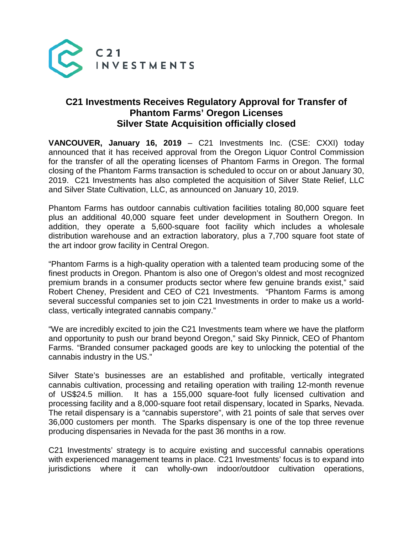

## **C21 Investments Receives Regulatory Approval for Transfer of Phantom Farms' Oregon Licenses Silver State Acquisition officially closed**

**VANCOUVER, January 16, 2019** – C21 Investments Inc. (CSE: CXXI) today announced that it has received approval from the Oregon Liquor Control Commission for the transfer of all the operating licenses of Phantom Farms in Oregon. The formal closing of the Phantom Farms transaction is scheduled to occur on or about January 30, 2019. C21 Investments has also completed the acquisition of Silver State Relief, LLC and Silver State Cultivation, LLC, as announced on January 10, 2019.

Phantom Farms has outdoor cannabis cultivation facilities totaling 80,000 square feet plus an additional 40,000 square feet under development in Southern Oregon. In addition, they operate a 5,600-square foot facility which includes a wholesale distribution warehouse and an extraction laboratory, plus a 7,700 square foot state of the art indoor grow facility in Central Oregon.

"Phantom Farms is a high-quality operation with a talented team producing some of the finest products in Oregon. Phantom is also one of Oregon's oldest and most recognized premium brands in a consumer products sector where few genuine brands exist," said Robert Cheney, President and CEO of C21 Investments. "Phantom Farms is among several successful companies set to join C21 Investments in order to make us a worldclass, vertically integrated cannabis company."

"We are incredibly excited to join the C21 Investments team where we have the platform and opportunity to push our brand beyond Oregon," said Sky Pinnick, CEO of Phantom Farms. "Branded consumer packaged goods are key to unlocking the potential of the cannabis industry in the US."

Silver State's businesses are an established and profitable, vertically integrated cannabis cultivation, processing and retailing operation with trailing 12-month revenue of US\$24.5 million. It has a 155,000 square-foot fully licensed cultivation and processing facility and a 8,000-square foot retail dispensary, located in Sparks, Nevada. The retail dispensary is a "cannabis superstore", with 21 points of sale that serves over 36,000 customers per month. The Sparks dispensary is one of the top three revenue producing dispensaries in Nevada for the past 36 months in a row.

C21 Investments' strategy is to acquire existing and successful cannabis operations with experienced management teams in place. C21 Investments' focus is to expand into jurisdictions where it can wholly-own indoor/outdoor cultivation operations,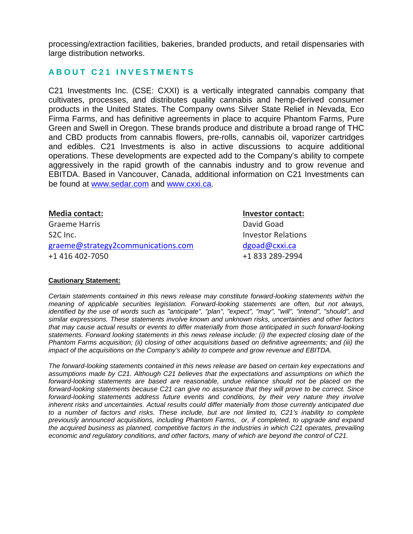processing/extraction facilities, bakeries, branded products, and retail dispensaries with large distribution networks.

## **ABOUT C21 INVESTMENTS**

C21 Investments Inc. (CSE: CXXI) is a vertically integrated cannabis company that cultivates, processes, and distributes quality cannabis and hemp-derived consumer products in the United States. The Company owns Silver State Relief in Nevada, Eco Firma Farms, and has definitive agreements in place to acquire Phantom Farms, Pure Green and Swell in Oregon. These brands produce and distribute a broad range of THC and CBD products from cannabis flowers, pre-rolls, cannabis oil, vaporizer cartridges and edibles. C21 Investments is also in active discussions to acquire additional operations. These developments are expected add to the Company's ability to compete aggressively in the rapid growth of the cannabis industry and to grow revenue and EBITDA. Based in Vancouver, Canada, additional information on C21 Investments can be found at [www.sedar.com](http://www.sedar.com/) and [www.cxxi.ca.](http://www.cxxi.ca/)

| <b>Media contact:</b>              | Investor contact:         |
|------------------------------------|---------------------------|
| <b>Graeme Harris</b>               | David Goad                |
| S <sub>2</sub> C Inc.              | <b>Investor Relations</b> |
| graeme@strategy2communications.com | dgoad@cxxi.ca             |
| +1 416 402-7050                    | +1 833 289-2994           |

## **Cautionary Statement:**

*Certain statements contained in this news release may constitute forward-looking statements within the meaning of applicable securities legislation. Forward-looking statements are often, but not always, identified by the use of words such as "anticipate", "plan", "expect", "may", "will", "intend", "should", and similar expressions. These statements involve known and unknown risks, uncertainties and other factors that may cause actual results or events to differ materially from those anticipated in such forward-looking statements. Forward looking statements in this news release include: (i) the expected closing date of the Phantom Farms acquisition; (ii) closing of other acquisitions based on definitive agreements; and (iii) the impact of the acquisitions on the Company's ability to compete and grow revenue and EBITDA.*

*The forward-looking statements contained in this news release are based on certain key expectations and assumptions made by C21. Although C21 believes that the expectations and assumptions on which the forward-looking statements are based are reasonable, undue reliance should not be placed on the forward-looking statements because C21 can give no assurance that they will prove to be correct. Since forward-looking statements address future events and conditions, by their very nature they involve inherent risks and uncertainties. Actual results could differ materially from those currently anticipated due to a number of factors and risks. These include, but are not limited to, C21's inability to complete previously announced acquisitions, including Phantom Farms, or, if completed, to upgrade and expand the acquired business as planned, competitive factors in the industries in which C21 operates, prevailing economic and regulatory conditions, and other factors, many of which are beyond the control of C21.*